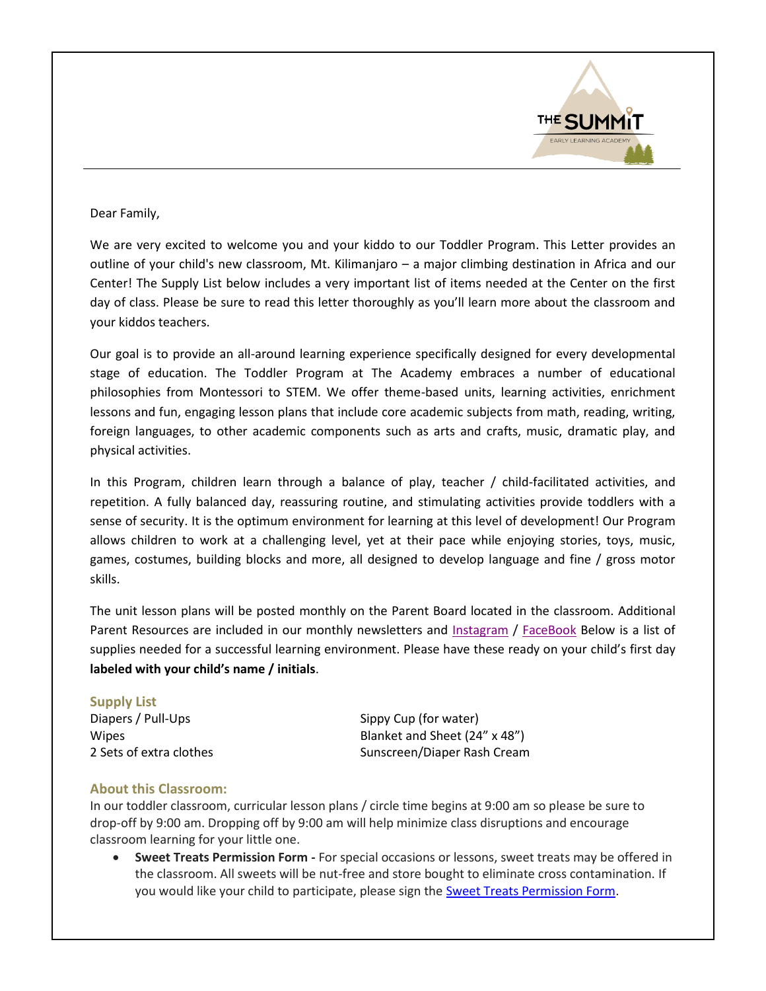

## Dear Family,

We are very excited to welcome you and your kiddo to our Toddler Program. This Letter provides an outline of your child's new classroom, Mt. Kilimanjaro – a major climbing destination in Africa and our Center! The Supply List below includes a very important list of items needed at the Center on the first day of class. Please be sure to read this letter thoroughly as you'll learn more about the classroom and your kiddos teachers.

Our goal is to provide an all-around learning experience specifically designed for every developmental stage of education. The Toddler Program at The Academy embraces a number of educational philosophies from Montessori to STEM. We offer theme-based units, learning activities, enrichment lessons and fun, engaging lesson plans that include core academic subjects from math, reading, writing, foreign languages, to other academic components such as arts and crafts, music, dramatic play, and physical activities.

In this Program, children learn through a balance of play, teacher / child-facilitated activities, and repetition. A fully balanced day, reassuring routine, and stimulating activities provide toddlers with a sense of security. It is the optimum environment for learning at this level of development! Our Program allows children to work at a challenging level, yet at their pace while enjoying stories, toys, music, games, costumes, building blocks and more, all designed to develop language and fine / gross motor skills.

The unit lesson plans will be posted monthly on the Parent Board located in the classroom. Additional Parent Resources are included in our monthly newsletters and [Instagram](https://www.instagram.com/the_summit_academy/?utm_medium=copy_link) / [FaceBook](https://www.facebook.com/The-Summit-Academy-111654264620422/) Below is a list of supplies needed for a successful learning environment. Please have these ready on your child's first day **labeled with your child's name / initials**.

| <b>Supply List</b>      |                               |
|-------------------------|-------------------------------|
| Diapers / Pull-Ups      | Sippy Cup (for water)         |
| <b>Wipes</b>            | Blanket and Sheet (24" x 48") |
| 2 Sets of extra clothes | Sunscreen/Diaper Rash Cream   |

## **About this Classroom:**

In our toddler classroom, curricular lesson plans / circle time begins at 9:00 am so please be sure to drop-off by 9:00 am. Dropping off by 9:00 am will help minimize class disruptions and encourage classroom learning for your little one.

 **Sweet Treats Permission Form -** For special occasions or lessons, sweet treats may be offered in the classroom. All sweets will be nut-free and store bought to eliminate cross contamination. If you would like your child to participate, please sign th[e Sweet Treats Permission Form.](https://drive.google.com/file/d/1bcOWr2iUJW91Smx_Cm5GboqpZgknoaCz/view?usp=sharing)